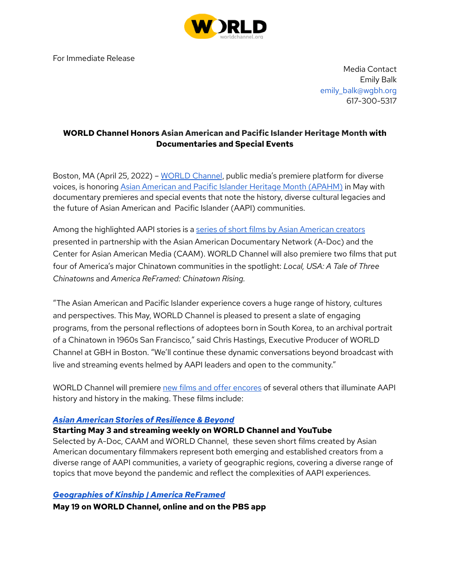

For Immediate Release

Media Contact Emily Balk emily\_balk@wqbh.org 617-300-5317

# **WORLD Channel Honors Asian American and Pacific Islander Heritage Month with Documentaries and Special Events**

Boston, MA (April 25, 2022) – [WORLD](https://worldchannel.org/) Channel, public media's premiere platform for diverse voices, is honoring Asian American and Pacific Islander Heritage Month [\(APAHM\)](https://worldchannel.org/press/article/may-asian-american-heritage-viewers-guide-2022/) in May with documentary premieres and special events that note the history, diverse cultural legacies and the future of Asian American and Pacific Islander (AAPI) communities.

Among the highlighted AAPI stories is a series of short films by Asian [American](https://worldchannel.org/press/article/asian-american-stories-of-resilience-and-beyond-short-films-viewers-guide/) creators presented in partnership with the Asian American Documentary Network (A-Doc) and the Center for Asian American Media (CAAM). WORLD Channel will also premiere two films that put four of America's major Chinatown communities in the spotlight: *Local, USA: A Tale of Three Chinatowns* and *America ReFramed: Chinatown Rising.*

"The Asian American and Pacific Islander experience covers a huge range of history, cultures and perspectives. This May, WORLD Channel is pleased to present a slate of engaging programs, from the personal reflections of adoptees born in South Korea, to an archival portrait of a Chinatown in 1960s San Francisco," said Chris Hastings, Executive Producer of WORLD Channel at GBH in Boston. "We'll continue these dynamic conversations beyond broadcast with live and streaming events helmed by AAPI leaders and open to the community."

WORLD Channel will premiere new films and offer [encores](https://worldchannel.org/press/article/may-asian-american-heritage-viewers-guide-2022/) of several others that illuminate AAPI history and history in the making. These films include:

## *Asian American Stories of [Resilience](https://worldchannel.org/press/article/asian-american-stories-of-resilience-and-beyond-short-films-viewers-guide/) & Beyond*

## **Starting May 3 and streaming weekly on WORLD Channel and YouTube**

Selected by A-Doc, CAAM and WORLD Channel, these seven short films created by Asian American documentary filmmakers represent both emerging and established creators from a diverse range of AAPI communities, a variety of geographic regions, covering a diverse range of topics that move beyond the pandemic and reflect the complexities of AAPI experiences.

## *[Geographies](https://worldchannel.org/episode/america-reframed-geographies-of-kinship/) of Kinship | America ReFramed*

**May 19 on WORLD Channel, online and on the PBS app**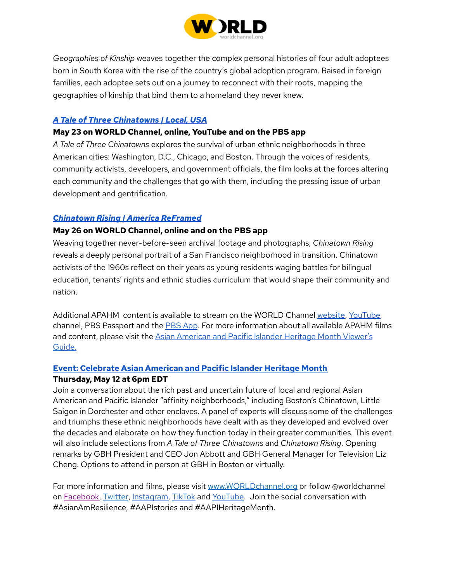

*Geographies of Kinship* weaves together the complex personal histories of four adult adoptees born in South Korea with the rise of the country's global adoption program. Raised in foreign families, each adoptee sets out on a journey to reconnect with their roots, mapping the geographies of kinship that bind them to a homeland they never knew.

## *A Tale of Three [Chinatowns](https://worldchannel.org/episode/local-usa-a-tale-of-three-chinatowns/) | Local, USA*

#### **May 23 on WORLD Channel, online, YouTube and on the PBS app**

*A Tale of Three Chinatowns* explores the survival of urban ethnic neighborhoods in three American cities: Washington, D.C., Chicago, and Boston. Through the voices of residents, community activists, developers, and government officials, the film looks at the forces altering each community and the challenges that go with them, including the pressing issue of urban development and gentrification.

### *[Chinatown](https://worldchannel.org/episode/america-reframed-chinatown-rising/) Rising | America ReFramed*

### **May 26 on WORLD Channel, online and on the PBS app**

Weaving together never-before-seen archival footage and photographs, *Chinatown Rising* reveals a deeply personal portrait of a San Francisco neighborhood in transition. Chinatown activists of the 1960s reflect on their years as young residents waging battles for bilingual education, tenants' rights and ethnic studies curriculum that would shape their community and nation.

Additional APAHM content is available to stream on the WORLD Channel [website,](http://www.worldchannel.org/) [YouTube](https://www.youtube.com/c/WORLDChannel/videos) channel, [PBS](https://www.pbs.org/americareframed) Passport and the PBS App. For more information about all available APAHM films and content, please visit the Asian [American](https://worldchannel.org/press/article/may-asian-american-heritage-viewers-guide-2022/) and Pacific Islander Heritage Month Viewer's [Guide.](https://worldchannel.org/press/article/may-asian-american-heritage-viewers-guide-2022/)

## **Event: [Celebrate](https://www.wgbh.org/events/celebrate-asian-american-and-pacific-islander-heritage-month-event-in-person-and-virtual) Asian American and Pacific Islander Heritage Month**

#### **Thursday, May 12 at 6pm EDT**

Join a conversation about the rich past and uncertain future of local and regional Asian American and Pacific Islander "affinity neighborhoods," including Boston's Chinatown, Little Saigon in Dorchester and other enclaves. A panel of experts will discuss some of the challenges and triumphs these ethnic neighborhoods have dealt with as they developed and evolved over the decades and elaborate on how they function today in their greater communities. This event will also include selections from *A Tale of Three Chinatowns* and *Chinatown Rising*. Opening remarks by GBH President and CEO Jon Abbott and GBH General Manager for Television Liz Cheng. Options to attend in person at GBH in Boston or virtually.

For more information and films, please visit [www.WORLDchannel.org](http://www.worldchannel.org/) or follow @worldchannel on [Facebook,](https://www.facebook.com/WORLDChannel/) [Twitter,](https://twitter.com/worldchannel?lang=en) [Instagram,](https://www.instagram.com/worldchannel/) [TikTok](https://www.tiktok.com/@worldchannel) and [YouTube.](https://www.youtube.com/c/WORLDChannel/videos) Join the social conversation with #AsianAmResilience, #AAPIstories and #AAPIHeritageMonth.